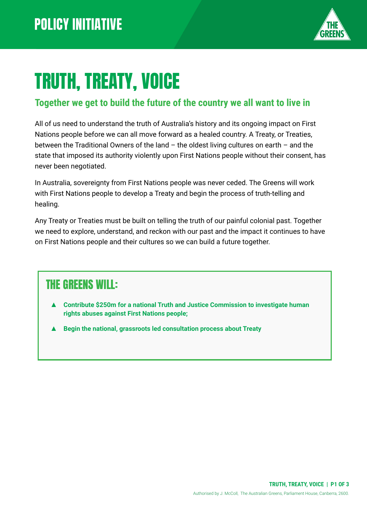

# TRUTH, TREATY, VOICE

#### **Together we get to build the future of the country we all want to live in**

All of us need to understand the truth of Australia's history and its ongoing impact on First Nations people before we can all move forward as a healed country. A Treaty, or Treaties, between the Traditional Owners of the land – the oldest living cultures on earth – and the state that imposed its authority violently upon First Nations people without their consent, has never been negotiated.

In Australia, sovereignty from First Nations people was never ceded. The Greens will work with First Nations people to develop a Treaty and begin the process of truth-telling and healing.

Any Treaty or Treaties must be built on telling the truth of our painful colonial past. Together we need to explore, understand, and reckon with our past and the impact it continues to have on First Nations people and their cultures so we can build a future together.

#### THE GREENS WILL:

- **Contribute \$250m for a national Truth and Justice Commission to investigate human rights abuses against First Nations people;**
- **Begin the national, grassroots led consultation process about Treaty**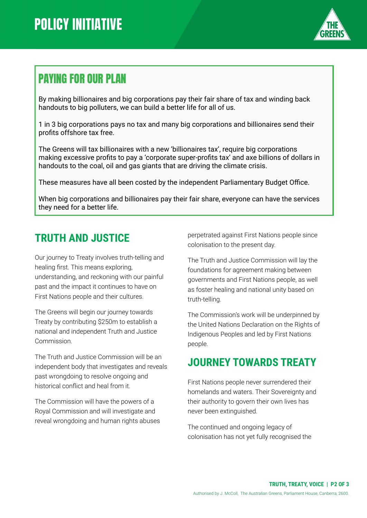

### PAYING FOR OUR PLAN

By making billionaires and big corporations pay their fair share of tax and winding back handouts to big polluters, we can build a better life for all of us.

1 in 3 big corporations pays no tax and many big corporations and billionaires send their profits offshore tax free.

The Greens will tax billionaires with a new 'billionaires tax', require big corporations making excessive profits to pay a 'corporate super-profits tax' and axe billions of dollars in handouts to the coal, oil and gas giants that are driving the climate crisis.

These measures have all been costed by the independent Parliamentary Budget Office.

When big corporations and billionaires pay their fair share, everyone can have the services they need for a better life.

#### **TRUTH AND JUSTICE**

Our journey to Treaty involves truth-telling and healing first. This means exploring, understanding, and reckoning with our painful past and the impact it continues to have on First Nations people and their cultures.

The Greens will begin our journey towards Treaty by contributing \$250m to establish a national and independent Truth and Justice Commission.

The Truth and Justice Commission will be an independent body that investigates and reveals past wrongdoing to resolve ongoing and historical conflict and heal from it.

The Commission will have the powers of a Royal Commission and will investigate and reveal wrongdoing and human rights abuses perpetrated against First Nations people since colonisation to the present day.

The Truth and Justice Commission will lay the foundations for agreement making between governments and First Nations people, as well as foster healing and national unity based on truth-telling.

The Commission's work will be underpinned by the United Nations Declaration on the Rights of Indigenous Peoples and led by First Nations people.

#### **JOURNEY TOWARDS TREATY**

First Nations people never surrendered their homelands and waters. Their Sovereignty and their authority to govern their own lives has never been extinguished.

The continued and ongoing legacy of colonisation has not yet fully recognised the